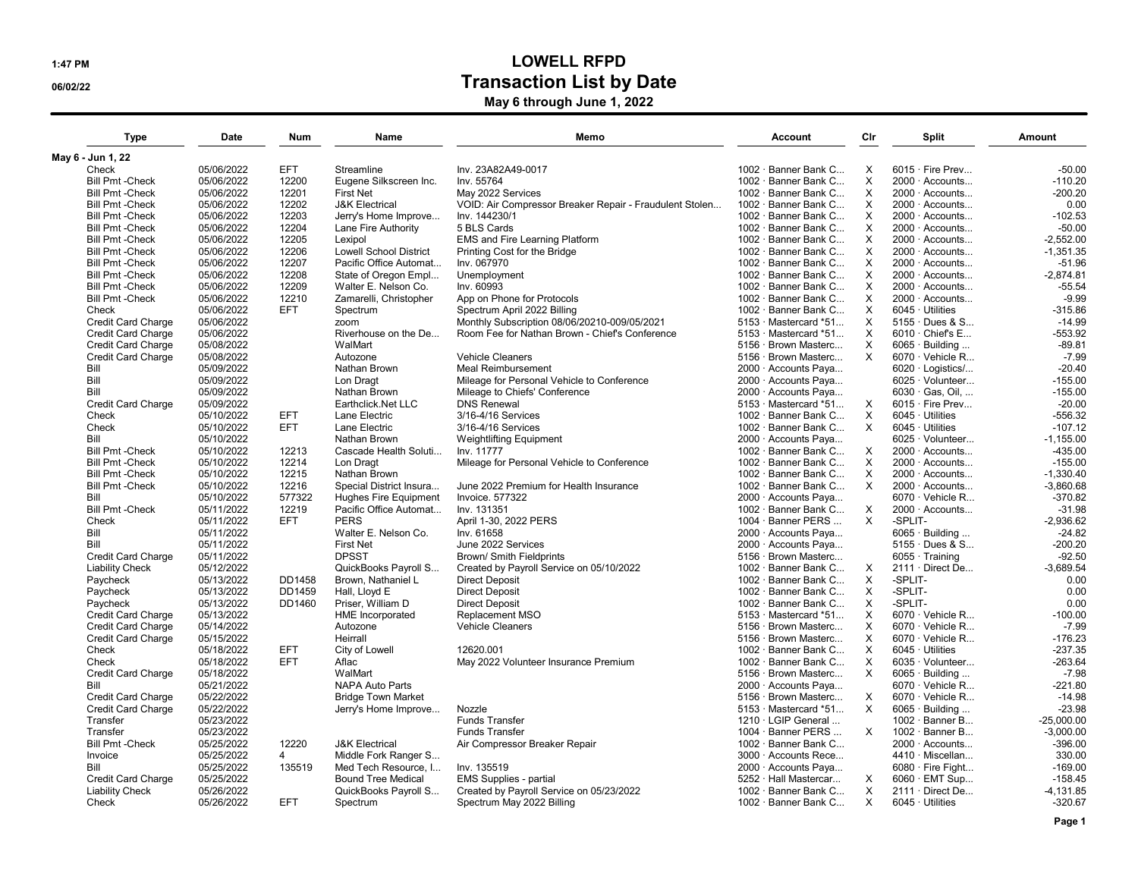## 1:47 PM LOWELL RFPD **CONSTRUCTED** OG02/22 May 6 through June 1, 2022

| <b>Type</b>               | <b>Date</b> | <b>Num</b>     | Name                          | Memo                                                    | <b>Account</b>                | Cir          | <b>Split</b>            | Amount       |
|---------------------------|-------------|----------------|-------------------------------|---------------------------------------------------------|-------------------------------|--------------|-------------------------|--------------|
| May 6 - Jun 1, 22         |             |                |                               |                                                         |                               |              |                         |              |
| Check                     | 05/06/2022  | EFT            | Streamline                    | Inv. 23A82A49-0017                                      | 1002 · Banner Bank C          | X            | $6015 \cdot$ Fire Prev  | $-50.00$     |
| <b>Bill Pmt-Check</b>     | 05/06/2022  | 12200          | Eugene Silkscreen Inc.        | Inv. 55764                                              | 1002 · Banner Bank C          | X            | $2000 \cdot$ Accounts   | $-110.20$    |
| <b>Bill Pmt-Check</b>     | 05/06/2022  | 12201          | <b>First Net</b>              | May 2022 Services                                       | 1002 · Banner Bank C          | X            | 2000 · Accounts         | $-200.20$    |
| <b>Bill Pmt-Check</b>     | 05/06/2022  | 12202          | <b>J&amp;K Electrical</b>     | VOID: Air Compressor Breaker Repair - Fraudulent Stolen | 1002 · Banner Bank C          | X            | $2000 \cdot$ Accounts   | 0.00         |
| <b>Bill Pmt-Check</b>     | 05/06/2022  | 12203          | Jerry's Home Improve          | Inv. 144230/1                                           | 1002 · Banner Bank C          | X            | 2000 · Accounts         | $-102.53$    |
| <b>Bill Pmt - Check</b>   | 05/06/2022  | 12204          | Lane Fire Authority           | 5 BLS Cards                                             | 1002 · Banner Bank C          | X            | 2000 Accounts           | $-50.00$     |
| <b>Bill Pmt-Check</b>     | 05/06/2022  | 12205          | Lexipol                       | EMS and Fire Learning Platform                          | 1002 · Banner Bank C          | $\times$     | $2000 \cdot$ Accounts   | $-2,552.00$  |
| <b>Bill Pmt-Check</b>     | 05/06/2022  | 12206          | <b>Lowell School District</b> | Printing Cost for the Bridge                            | 1002 · Banner Bank C          | X            | $2000 \cdot$ Accounts   | $-1,351.35$  |
| <b>Bill Pmt-Check</b>     | 05/06/2022  | 12207          | Pacific Office Automat        | Inv. 067970                                             | 1002 · Banner Bank C          | X            | 2000 · Accounts         | $-51.96$     |
| <b>Bill Pmt-Check</b>     | 05/06/2022  | 12208          | State of Oregon Empl          | Unemployment                                            | 1002 · Banner Bank C          | X            | $2000 \cdot$ Accounts   | $-2,874.81$  |
| <b>Bill Pmt - Check</b>   | 05/06/2022  | 12209          | Walter E. Nelson Co.          | Inv. 60993                                              | 1002 · Banner Bank C          | X            | 2000 · Accounts         | $-55.54$     |
| <b>Bill Pmt - Check</b>   | 05/06/2022  | 12210          | Zamarelli, Christopher        | App on Phone for Protocols                              | 1002 · Banner Bank C          | X            | 2000 · Accounts         | $-9.99$      |
| Check                     | 05/06/2022  | EFT            | Spectrum                      | Spectrum April 2022 Billing                             | 1002 · Banner Bank C          | X            | $6045 \cdot$ Utilities  | $-315.86$    |
| Credit Card Charge        | 05/06/2022  |                | zoom                          | Monthly Subscription 08/06/20210-009/05/2021            | $5153 \cdot$ Mastercard $*51$ | X            | 5155 · Dues & S         | $-14.99$     |
| <b>Credit Card Charge</b> | 05/06/2022  |                | Riverhouse on the De          | Room Fee for Nathan Brown - Chief's Conference          | $5153 \cdot$ Mastercard $*51$ | $\times$     | $6010 \cdot$ Chief's E  | $-553.92$    |
| <b>Credit Card Charge</b> | 05/08/2022  |                | WalMart                       |                                                         | 5156 · Brown Masterc          | X            | $6065 \cdot$ Building   | $-89.81$     |
| Credit Card Charge        | 05/08/2022  |                | Autozone                      | Vehicle Cleaners                                        | 5156 · Brown Masterc          | $\times$     | 6070 · Vehicle R        | $-7.99$      |
| Bill                      | 05/09/2022  |                | Nathan Brown                  | <b>Meal Reimbursement</b>                               | 2000 · Accounts Paya          |              | 6020 · Logistics/       | $-20.40$     |
| Bill                      | 05/09/2022  |                | Lon Dragt                     | Mileage for Personal Vehicle to Conference              | 2000 · Accounts Paya          |              | 6025 · Volunteer        | $-155.00$    |
| Bill                      | 05/09/2022  |                | Nathan Brown                  | Mileage to Chiefs' Conference                           | 2000 · Accounts Paya          |              | 6030 · Gas, Oil,        | $-155.00$    |
| <b>Credit Card Charge</b> | 05/09/2022  |                | Earthclick.Net LLC            | <b>DNS Renewal</b>                                      | $5153 \cdot$ Mastercard $*51$ | $\times$     | $6015 \cdot$ Fire Prev  | $-20.00$     |
| Check                     | 05/10/2022  | <b>EFT</b>     | Lane Electric                 | 3/16-4/16 Services                                      | 1002 · Banner Bank C          | $\mathsf{X}$ | $6045 \cdot$ Utilities  | $-556.32$    |
| Check                     | 05/10/2022  | <b>EFT</b>     | Lane Electric                 | 3/16-4/16 Services                                      | 1002 · Banner Bank C          | $\times$     | $6045 \cdot$ Utilities  | $-107.12$    |
| Bill                      | 05/10/2022  |                | Nathan Brown                  | <b>Weightlifting Equipment</b>                          | 2000 · Accounts Paya          |              | $6025 \cdot$ Volunteer  | $-1,155.00$  |
| <b>Bill Pmt - Check</b>   | 05/10/2022  | 12213          | Cascade Health Soluti         | Inv. 11777                                              | 1002 · Banner Bank C          | X            | 2000 · Accounts         | $-435.00$    |
| <b>Bill Pmt-Check</b>     | 05/10/2022  | 12214          | Lon Dragt                     | Mileage for Personal Vehicle to Conference              | 1002 · Banner Bank C          | $\mathsf{X}$ | 2000 · Accounts         | $-155.00$    |
| <b>Bill Pmt - Check</b>   | 05/10/2022  | 12215          | Nathan Brown                  |                                                         | 1002 · Banner Bank C          | $\times$     | 2000 · Accounts         | $-1,330.40$  |
| <b>Bill Pmt - Check</b>   | 05/10/2022  | 12216          | Special District Insura       | June 2022 Premium for Health Insurance                  | 1002 · Banner Bank C          | $\times$     | 2000 · Accounts         | $-3,860.68$  |
| Bill                      | 05/10/2022  | 577322         | Hughes Fire Equipment         | <b>Invoice, 577322</b>                                  | 2000 · Accounts Paya          |              | $6070 \cdot$ Vehicle R  | $-370.82$    |
| <b>Bill Pmt - Check</b>   | 05/11/2022  | 12219          | Pacific Office Automat        | Inv. 131351                                             | 1002 · Banner Bank C          | X            | $2000 \cdot$ Accounts   | $-31.98$     |
| Check                     | 05/11/2022  | <b>EFT</b>     | <b>PERS</b>                   | April 1-30, 2022 PERS                                   | 1004 · Banner PERS            | $\times$     | -SPLIT-                 | $-2,936.62$  |
| Bill                      | 05/11/2022  |                | Walter E. Nelson Co.          | Inv. 61658                                              | 2000 · Accounts Paya          |              | $6065 \cdot$ Building   | $-24.82$     |
| Bill                      | 05/11/2022  |                | <b>First Net</b>              | June 2022 Services                                      | 2000 · Accounts Paya          |              | 5155 · Dues & S         | $-200.20$    |
| <b>Credit Card Charge</b> | 05/11/2022  |                | <b>DPSST</b>                  | Brown/ Smith Fieldprints                                | 5156 · Brown Masterc          |              | $6055 \cdot$ Training   | $-92.50$     |
| <b>Liability Check</b>    | 05/12/2022  |                | QuickBooks Payroll S          | Created by Payroll Service on 05/10/2022                | 1002 · Banner Bank C          | X            | 2111 · Direct De        | $-3,689.54$  |
| Paycheck                  | 05/13/2022  | DD1458         | Brown, Nathaniel L            | <b>Direct Deposit</b>                                   | 1002 · Banner Bank C          | X            | -SPLIT-                 | 0.00         |
| Paycheck                  | 05/13/2022  | DD1459         | Hall. Llovd E                 | <b>Direct Deposit</b>                                   | 1002 · Banner Bank C          | X            | -SPLIT-                 | 0.00         |
| Paycheck                  | 05/13/2022  | DD1460         | Priser, William D             | <b>Direct Deposit</b>                                   | 1002 · Banner Bank C          | X            | -SPLIT-                 | 0.00         |
| Credit Card Charge        | 05/13/2022  |                | <b>HME</b> Incorporated       | Replacement MSO                                         | $5153 \cdot$ Mastercard $*51$ | $\times$     | $6070 \cdot$ Vehicle R  | $-100.00$    |
| <b>Credit Card Charge</b> | 05/14/2022  |                | Autozone                      | <b>Vehicle Cleaners</b>                                 | 5156 · Brown Masterc          | X            | $6070 \cdot$ Vehicle R  | $-7.99$      |
| <b>Credit Card Charge</b> | 05/15/2022  |                | Heirrall                      |                                                         | 5156 · Brown Masterc          | X            | 6070 · Vehicle R        | $-176.23$    |
| Check                     | 05/18/2022  | <b>EFT</b>     | City of Lowell                | 12620.001                                               | 1002 · Banner Bank C          | X            | $6045 \cdot$ Utilities  | $-237.35$    |
| Check                     | 05/18/2022  | <b>EFT</b>     | Aflac                         | May 2022 Volunteer Insurance Premium                    | 1002 · Banner Bank C          | X            | 6035 · Volunteer        | $-263.64$    |
| Credit Card Charge        | 05/18/2022  |                | WalMart                       |                                                         | 5156 · Brown Masterc          | $\times$     | $6065 \cdot$ Building   | $-7.98$      |
| Bill                      | 05/21/2022  |                | <b>NAPA Auto Parts</b>        |                                                         | 2000 · Accounts Paya          |              | $6070 \cdot$ Vehicle R  | $-221.80$    |
| <b>Credit Card Charge</b> | 05/22/2022  |                | <b>Bridge Town Market</b>     |                                                         | 5156 · Brown Masterc          | X            | $6070 \cdot$ Vehicle R  | $-14.98$     |
| <b>Credit Card Charge</b> | 05/22/2022  |                | Jerry's Home Improve          | Nozzle                                                  | $5153 \cdot$ Mastercard $*51$ | $\times$     | $6065 \cdot$ Building   | $-23.98$     |
| Transfer                  | 05/23/2022  |                |                               | <b>Funds Transfer</b>                                   | $1210 \cdot$ LGIP General     |              | $1002 \cdot$ Banner B   | $-25.000.00$ |
| Transfer                  | 05/23/2022  |                |                               | <b>Funds Transfer</b>                                   | 1004 · Banner PERS            | X            | $1002 \cdot$ Banner B   | $-3,000.00$  |
| <b>Bill Pmt-Check</b>     | 05/25/2022  | 12220          | <b>J&amp;K Electrical</b>     | Air Compressor Breaker Repair                           | 1002 · Banner Bank C          |              | $2000 \cdot$ Accounts   | $-396.00$    |
| Invoice                   | 05/25/2022  | $\overline{4}$ | Middle Fork Ranger S          |                                                         | 3000 · Accounts Rece          |              | 4410 · Miscellan        | 330.00       |
| Bill                      | 05/25/2022  | 135519         | Med Tech Resource, I          | Inv. 135519                                             | 2000 · Accounts Paya          |              | $6080 \cdot$ Fire Fight | $-169.00$    |
| <b>Credit Card Charge</b> | 05/25/2022  |                | <b>Bound Tree Medical</b>     | <b>EMS Supplies - partial</b>                           | 5252 · Hall Mastercar         | X            | $6060 \cdot$ EMT Sup    | $-158.45$    |
| <b>Liability Check</b>    | 05/26/2022  |                | QuickBooks Payroll S          | Created by Payroll Service on 05/23/2022                | 1002 · Banner Bank C          | $\times$     | 2111 · Direct De        | $-4,131.85$  |
| Check                     | 05/26/2022  | EFT.           | Spectrum                      | Spectrum May 2022 Billing                               | 1002 · Banner Bank C          | $\times$     | $6045 \cdot$ Utilities  | $-320.67$    |
|                           |             |                |                               |                                                         |                               |              |                         |              |